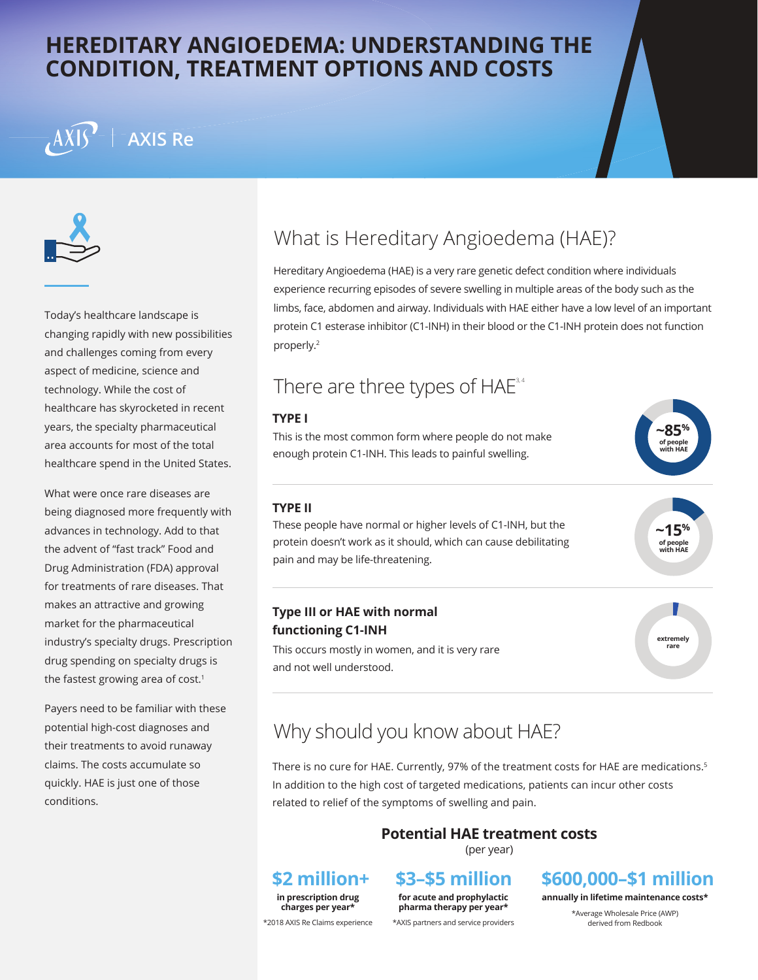### **HEREDITARY ANGIOEDEMA: UNDERSTANDING THE CONDITION, TREATMENT OPTIONS AND COSTS**

# **AXIS Re**



Today's healthcare landscape is changing rapidly with new possibilities and challenges coming from every aspect of medicine, science and technology. While the cost of healthcare has skyrocketed in recent years, the specialty pharmaceutical area accounts for most of the total healthcare spend in the United States.

What were once rare diseases are being diagnosed more frequently with advances in technology. Add to that the advent of "fast track" Food and Drug Administration (FDA) approval for treatments of rare diseases. That makes an attractive and growing market for the pharmaceutical industry's specialty drugs. Prescription drug spending on specialty drugs is the fastest growing area of cost.<sup>1</sup>

Payers need to be familiar with these potential high-cost diagnoses and their treatments to avoid runaway claims. The costs accumulate so quickly. HAE is just one of those conditions.

# What is Hereditary Angioedema (HAE)?

Hereditary Angioedema (HAE) is a very rare genetic defect condition where individuals experience recurring episodes of severe swelling in multiple areas of the body such as the limbs, face, abdomen and airway. Individuals with HAE either have a low level of an important protein C1 esterase inhibitor (C1-INH) in their blood or the C1-INH protein does not function properly.2

### There are three types of  $HAE$ <sup>3,4</sup>

#### **TYPE I**

This is the most common form where people do not make enough protein C1-INH. This leads to painful swelling.



#### **TYPE II**

These people have normal or higher levels of C1-INH, but the protein doesn't work as it should, which can cause debilitating pain and may be life-threatening.

### **Type III or HAE with normal functioning C1-INH**

This occurs mostly in women, and it is very rare and not well understood.



**~15% of people with HAE**

# Why should you know about HAE?

There is no cure for HAE. Currently, 97% of the treatment costs for HAE are medications.<sup>5</sup> In addition to the high cost of targeted medications, patients can incur other costs related to relief of the symptoms of swelling and pain.

### **Potential HAE treatment costs**

(per year)

#### **\$2 million+ in prescription drug**

**\$3–\$5 million for acute and prophylactic**

**pharma therapy per year\***

### **\$600,000–\$1 million**

**annually in lifetime maintenance costs\***

\*Average Wholesale Price (AWP) derived from Redbook

**charges per year\*** \*2018 AXIS Re Claims experience

#### \*AXIS partners and service providers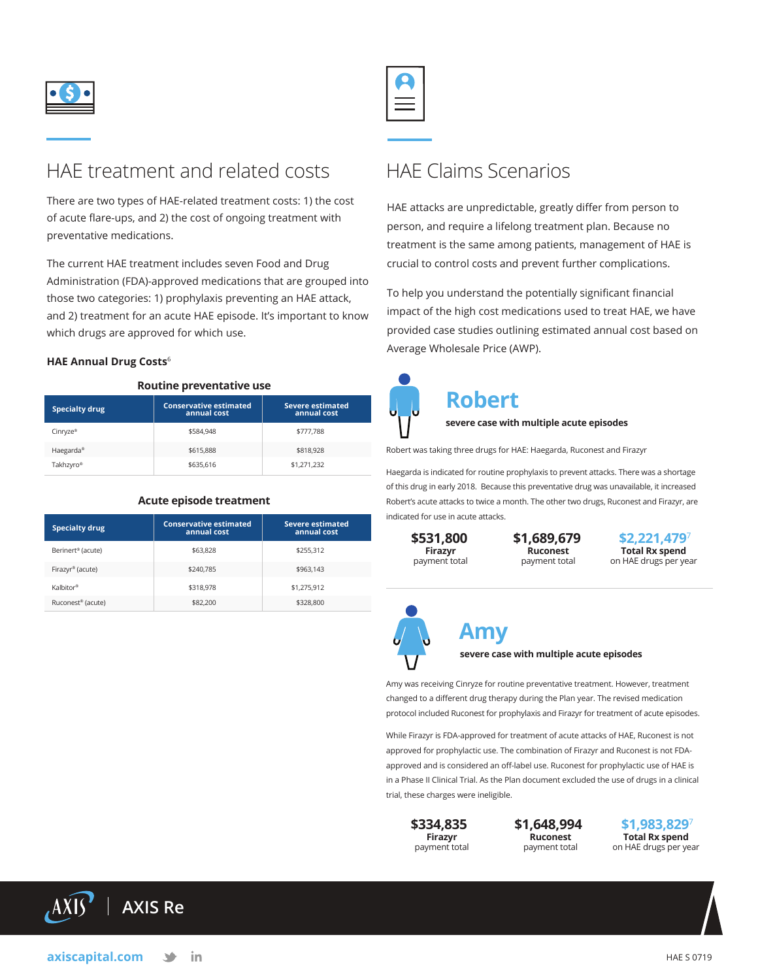

### HAE treatment and related costs

There are two types of HAE-related treatment costs: 1) the cost of acute flare-ups, and 2) the cost of ongoing treatment with preventative medications.

The current HAE treatment includes seven Food and Drug Administration (FDA)-approved medications that are grouped into those two categories: 1) prophylaxis preventing an HAE attack, and 2) treatment for an acute HAE episode. It's important to know which drugs are approved for which use.

#### **HAE Annual Drug Costs**<sup>6</sup>

#### **Routine preventative use**

| <b>Specialty drug</b> | <b>Conservative estimated</b><br>annual cost | <b>Severe estimated</b><br>annual cost |
|-----------------------|----------------------------------------------|----------------------------------------|
| Cinryze®              | \$584.948                                    | \$777.788                              |
| Haegarda <sup>®</sup> | \$615,888                                    | \$818,928                              |
| Takhzyro®             | \$635,616                                    | \$1,271,232                            |

| <b>Specialty drug</b>         | <b>Conservative estimated</b><br>annual cost | <b>Severe estimated</b><br>annual cost |
|-------------------------------|----------------------------------------------|----------------------------------------|
| Berinert <sup>®</sup> (acute) | \$63,828                                     | \$255.312                              |
| Firazyr <sup>®</sup> (acute)  | \$240,785                                    | \$963,143                              |
| Kalbitor®                     | \$318,978                                    | \$1,275,912                            |
| Ruconest <sup>®</sup> (acute) | \$82,200                                     | \$328,800                              |

#### **Acute episode treatment**

### HAE Claims Scenarios

HAE attacks are unpredictable, greatly differ from person to person, and require a lifelong treatment plan. Because no treatment is the same among patients, management of HAE is crucial to control costs and prevent further complications.

To help you understand the potentially significant financial impact of the high cost medications used to treat HAE, we have provided case studies outlining estimated annual cost based on Average Wholesale Price (AWP).



# **Robert**

**severe case with multiple acute episodes**

Robert was taking three drugs for HAE: Haegarda, Ruconest and Firazyr

Haegarda is indicated for routine prophylaxis to prevent attacks. There was a shortage of this drug in early 2018. Because this preventative drug was unavailable, it increased Robert's acute attacks to twice a month. The other two drugs, Ruconest and Firazyr, are indicated for use in acute attacks.

**\$531,800 Firazyr**  payment total

**\$1,689,679 Ruconest**  payment total

**\$2,221,479**<sup>7</sup> **Total Rx spend**  on HAE drugs per year



### **Amy severe case with multiple acute episodes**

Amy was receiving Cinryze for routine preventative treatment. However, treatment changed to a different drug therapy during the Plan year. The revised medication

protocol included Ruconest for prophylaxis and Firazyr for treatment of acute episodes.

While Firazyr is FDA-approved for treatment of acute attacks of HAE, Ruconest is not approved for prophylactic use. The combination of Firazyr and Ruconest is not FDAapproved and is considered an off-label use. Ruconest for prophylactic use of HAE is in a Phase II Clinical Trial. As the Plan document excluded the use of drugs in a clinical trial, these charges were ineligible.

**\$334,835 Firazyr**  payment total **\$1,648,994 Ruconest**  payment total

**\$1,983,829**<sup>7</sup> **Total Rx spend**  on HAE drugs per year